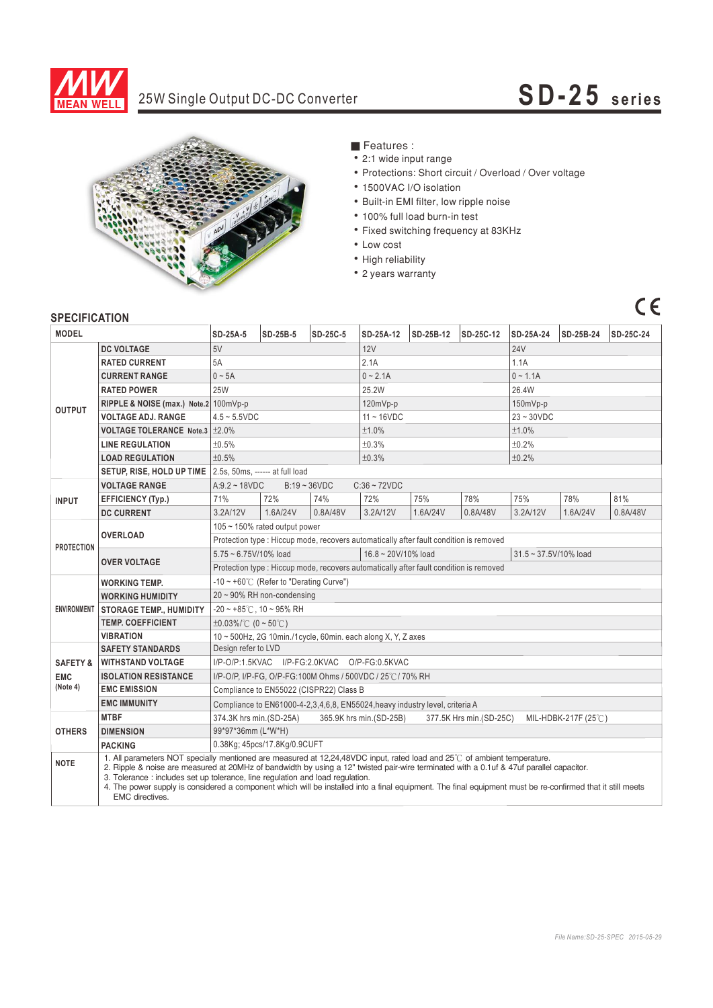

# 25W Single Output DC-DC Converter **SD-25** series



■ Features :

- ‧2:1 wide input range
- ‧Protections: Short circuit / Overload / Over voltage
- ‧1500VAC I/O isolation
- ‧Built-in EMI filter, low ripple noise
- ‧100% full load burn-in test
- Fixed switching frequency at 83KHz
- ‧Low cost
- High reliability
- ‧2 years warranty

## $C<sub>1</sub>$

## **SPECIFICATION**

| <b>MODEL</b>           |                                                                                                                                                                                                                                                                                                                                                                                                                                                                                                                                         | SD-25A-5                                                                                              | SD-25B-5 | SD-25C-5 | SD-25A-12         | SD-25B-12 | SD-25C-12 | SD-25A-24           | SD-25B-24 | SD-25C-24 |
|------------------------|-----------------------------------------------------------------------------------------------------------------------------------------------------------------------------------------------------------------------------------------------------------------------------------------------------------------------------------------------------------------------------------------------------------------------------------------------------------------------------------------------------------------------------------------|-------------------------------------------------------------------------------------------------------|----------|----------|-------------------|-----------|-----------|---------------------|-----------|-----------|
| <b>OUTPUT</b>          | <b>DC VOLTAGE</b>                                                                                                                                                                                                                                                                                                                                                                                                                                                                                                                       | 5V                                                                                                    |          |          | 12V               |           |           | <b>24V</b>          |           |           |
|                        | <b>RATED CURRENT</b>                                                                                                                                                                                                                                                                                                                                                                                                                                                                                                                    | 5A                                                                                                    |          |          | 2.1A              |           |           | 1.1A                |           |           |
|                        | <b>CURRENT RANGE</b>                                                                                                                                                                                                                                                                                                                                                                                                                                                                                                                    | $0 \sim 5A$                                                                                           |          |          | $0 - 2.1A$        |           |           | $0 - 1.1A$          |           |           |
|                        | <b>RATED POWER</b>                                                                                                                                                                                                                                                                                                                                                                                                                                                                                                                      | <b>25W</b>                                                                                            |          |          | 25.2W             |           |           | 26.4W               |           |           |
|                        | RIPPLE & NOISE (max.) Note.2 100mVp-p                                                                                                                                                                                                                                                                                                                                                                                                                                                                                                   |                                                                                                       |          |          | 120mVp-p          |           |           | $150mVp-p$          |           |           |
|                        | <b>VOLTAGE ADJ. RANGE</b>                                                                                                                                                                                                                                                                                                                                                                                                                                                                                                               | $4.5 - 5.5$ VDC                                                                                       |          |          | $11 - 16$ VDC     |           |           | $23 - 30VDC$        |           |           |
|                        | <b>VOLTAGE TOLERANCE Note.3</b>                                                                                                                                                                                                                                                                                                                                                                                                                                                                                                         | $\pm 2.0\%$                                                                                           |          |          | ±1.0%             |           |           | ±1.0%               |           |           |
|                        | <b>LINE REGULATION</b>                                                                                                                                                                                                                                                                                                                                                                                                                                                                                                                  | ±0.5%                                                                                                 |          |          | ±0.3%             |           |           | ±0.2%               |           |           |
|                        | <b>LOAD REGULATION</b>                                                                                                                                                                                                                                                                                                                                                                                                                                                                                                                  | ±0.5%                                                                                                 |          |          | ±0.3%             |           |           | ±0.2%               |           |           |
|                        | SETUP, RISE, HOLD UP TIME                                                                                                                                                                                                                                                                                                                                                                                                                                                                                                               | 2.5s, 50ms, ------ at full load                                                                       |          |          |                   |           |           |                     |           |           |
|                        | <b>VOLTAGE RANGE</b>                                                                                                                                                                                                                                                                                                                                                                                                                                                                                                                    | $B:19 - 36VDC$<br>$A:9.2 \sim 18VDC$<br>$C:36 \sim 72VDC$                                             |          |          |                   |           |           |                     |           |           |
| <b>INPUT</b>           | <b>EFFICIENCY (Typ.)</b>                                                                                                                                                                                                                                                                                                                                                                                                                                                                                                                | 71%                                                                                                   | 72%      | 74%      | 72%               | 75%       | 78%       | 75%                 | 78%       | 81%       |
|                        | <b>DC CURRENT</b>                                                                                                                                                                                                                                                                                                                                                                                                                                                                                                                       | 3.2A/12V                                                                                              | 1.6A/24V | 0.8A/48V | 3.2A/12V          | 1.6A/24V  | 0.8A/48V  | 3.2A/12V            | 1.6A/24V  | 0.8A/48V  |
| <b>PROTECTION</b>      | <b>OVERLOAD</b>                                                                                                                                                                                                                                                                                                                                                                                                                                                                                                                         | 105 ~ 150% rated output power                                                                         |          |          |                   |           |           |                     |           |           |
|                        |                                                                                                                                                                                                                                                                                                                                                                                                                                                                                                                                         | Protection type : Hiccup mode, recovers automatically after fault condition is removed                |          |          |                   |           |           |                     |           |           |
|                        | <b>OVER VOLTAGE</b>                                                                                                                                                                                                                                                                                                                                                                                                                                                                                                                     | 5.75~6.75V/10% load                                                                                   |          |          | 16.8~20V/10% load |           |           | 31.5~37.5V/10% load |           |           |
|                        |                                                                                                                                                                                                                                                                                                                                                                                                                                                                                                                                         | Protection type : Hiccup mode, recovers automatically after fault condition is removed                |          |          |                   |           |           |                     |           |           |
|                        | <b>WORKING TEMP.</b>                                                                                                                                                                                                                                                                                                                                                                                                                                                                                                                    | $-10 \sim +60^{\circ}$ (Refer to "Derating Curve")                                                    |          |          |                   |           |           |                     |           |           |
|                        | <b>WORKING HUMIDITY</b>                                                                                                                                                                                                                                                                                                                                                                                                                                                                                                                 | $20 \sim 90\%$ RH non-condensing                                                                      |          |          |                   |           |           |                     |           |           |
|                        | ENVIRONMENT   STORAGE TEMP., HUMIDITY                                                                                                                                                                                                                                                                                                                                                                                                                                                                                                   | $-20$ ~ $+85^{\circ}$ C, 10 ~ 95% RH                                                                  |          |          |                   |           |           |                     |           |           |
|                        | <b>TEMP, COEFFICIENT</b>                                                                                                                                                                                                                                                                                                                                                                                                                                                                                                                | $\pm 0.03\%$ /°C (0 ~ 50°C)                                                                           |          |          |                   |           |           |                     |           |           |
|                        | <b>VIBRATION</b>                                                                                                                                                                                                                                                                                                                                                                                                                                                                                                                        | 10 ~ 500Hz, 2G 10min./1cycle, 60min. each along X, Y, Z axes                                          |          |          |                   |           |           |                     |           |           |
|                        | <b>SAFETY STANDARDS</b>                                                                                                                                                                                                                                                                                                                                                                                                                                                                                                                 | Design refer to LVD                                                                                   |          |          |                   |           |           |                     |           |           |
| <b>SAFETY &amp;</b>    | <b>WITHSTAND VOLTAGE</b>                                                                                                                                                                                                                                                                                                                                                                                                                                                                                                                | I/P-O/P:1.5KVAC I/P-FG:2.0KVAC O/P-FG:0.5KVAC                                                         |          |          |                   |           |           |                     |           |           |
| <b>EMC</b><br>(Note 4) | <b>ISOLATION RESISTANCE</b>                                                                                                                                                                                                                                                                                                                                                                                                                                                                                                             | I/P-O/P, I/P-FG, O/P-FG:100M Ohms / 500VDC / 25°C / 70% RH                                            |          |          |                   |           |           |                     |           |           |
|                        | <b>EMC EMISSION</b>                                                                                                                                                                                                                                                                                                                                                                                                                                                                                                                     | Compliance to EN55022 (CISPR22) Class B                                                               |          |          |                   |           |           |                     |           |           |
|                        | <b>EMC IMMUNITY</b>                                                                                                                                                                                                                                                                                                                                                                                                                                                                                                                     | Compliance to EN61000-4-2,3,4,6,8, EN55024, heavy industry level, criteria A                          |          |          |                   |           |           |                     |           |           |
| <b>OTHERS</b>          | <b>MTBF</b>                                                                                                                                                                                                                                                                                                                                                                                                                                                                                                                             | 365.9K hrs min.(SD-25B)<br>374.3K hrs min. (SD-25A)<br>377.5K Hrs min.(SD-25C)<br>MIL-HDBK-217F (25℃) |          |          |                   |           |           |                     |           |           |
|                        | <b>DIMENSION</b>                                                                                                                                                                                                                                                                                                                                                                                                                                                                                                                        | 99*97*36mm (L*W*H)                                                                                    |          |          |                   |           |           |                     |           |           |
|                        | <b>PACKING</b>                                                                                                                                                                                                                                                                                                                                                                                                                                                                                                                          | 0.38Kg; 45pcs/17.8Kg/0.9CUFT                                                                          |          |          |                   |           |           |                     |           |           |
| <b>NOTE</b>            | 1. All parameters NOT specially mentioned are measured at 12.24.48VDC input, rated load and 25°C of ambient temperature.<br>2. Ripple & noise are measured at 20MHz of bandwidth by using a 12" twisted pair-wire terminated with a 0.1uf & 47uf parallel capacitor.<br>3. Tolerance : includes set up tolerance, line regulation and load regulation.<br>4. The power supply is considered a component which will be installed into a final equipment. The final equipment must be re-confirmed that it still meets<br>EMC directives. |                                                                                                       |          |          |                   |           |           |                     |           |           |